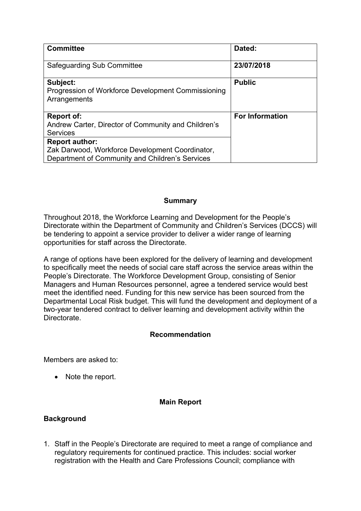| <b>Committee</b>                                                                                                                                                                                                           | Dated:                 |
|----------------------------------------------------------------------------------------------------------------------------------------------------------------------------------------------------------------------------|------------------------|
| Safeguarding Sub Committee                                                                                                                                                                                                 | 23/07/2018             |
| Subject:<br>Progression of Workforce Development Commissioning<br>Arrangements                                                                                                                                             | <b>Public</b>          |
| <b>Report of:</b><br>Andrew Carter, Director of Community and Children's<br><b>Services</b><br><b>Report author:</b><br>Zak Darwood, Workforce Development Coordinator,<br>Department of Community and Children's Services | <b>For Information</b> |

#### **Summary**

Throughout 2018, the Workforce Learning and Development for the People's Directorate within the Department of Community and Children's Services (DCCS) will be tendering to appoint a service provider to deliver a wider range of learning opportunities for staff across the Directorate.

A range of options have been explored for the delivery of learning and development to specifically meet the needs of social care staff across the service areas within the People's Directorate. The Workforce Development Group, consisting of Senior Managers and Human Resources personnel, agree a tendered service would best meet the identified need. Funding for this new service has been sourced from the Departmental Local Risk budget. This will fund the development and deployment of a two-year tendered contract to deliver learning and development activity within the Directorate.

### **Recommendation**

Members are asked to:

• Note the report.

### **Main Report**

#### **Background**

1. Staff in the People's Directorate are required to meet a range of compliance and regulatory requirements for continued practice. This includes: social worker registration with the Health and Care Professions Council; compliance with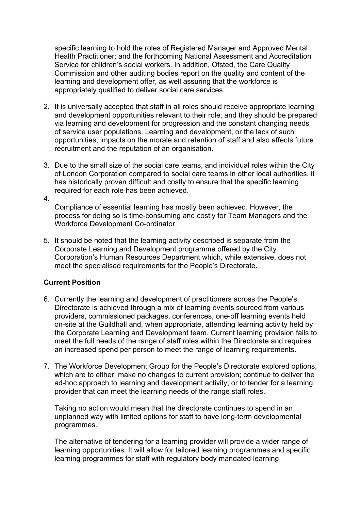specific learning to hold the roles of Registered Manager and Approved Mental Health Practitioner; and the forthcoming National Assessment and Accreditation Service for children's social workers. In addition, Ofsted, the Care Quality Commission and other auditing bodies report on the quality and content of the learning and development offer, as well assuring that the workforce is appropriately qualified to deliver social care services.

- 2. It is universally accepted that staff in all roles should receive appropriate learning and development opportunities relevant to their role; and they should be prepared via learning and development for progression and the constant changing needs of service user populations. Learning and development, or the lack of such opportunities, impacts on the morale and retention of staff and also affects future recruitment and the reputation of an organisation.
- 3. Due to the small size of the social care teams, and individual roles within the City of London Corporation compared to social care teams in other local authorities, it has historically proven difficult and costly to ensure that the specific learning required for each role has been achieved.

Compliance of essential learning has mostly been achieved. However, the process for doing so is time-consuming and costly for Team Managers and the Workforce Development Co-ordinator.

5. It should be noted that the learning activity described is separate from the Corporate Learning and Development programme offered by the City Corporation's Human Resources Department which, while extensive, does not meet the specialised requirements for the People's Directorate.

#### **Current Position**

4.

- 6. Currently the learning and development of practitioners across the People's Directorate is achieved through a mix of learning events sourced from various providers, commissioned packages, conferences, one-off learning events held on-site at the Guildhall and, when appropriate, attending learning activity held by the Corporate Learning and Development team. Current learning provision fails to meet the full needs of the range of staff roles within the Directorate and requires an increased spend per person to meet the range of learning requirements.
- 7. The Workforce Development Group for the People's Directorate explored options, which are to either: make no changes to current provision; continue to deliver the ad-hoc approach to learning and development activity; or to tender for a learning provider that can meet the learning needs of the range staff roles.

Taking no action would mean that the directorate continues to spend in an unplanned way with limited options for staff to have long-term developmental programmes.

The alternative of tendering for a learning provider will provide a wider range of learning opportunities. It will allow for tailored learning programmes and specific learning programmes for staff with regulatory body mandated learning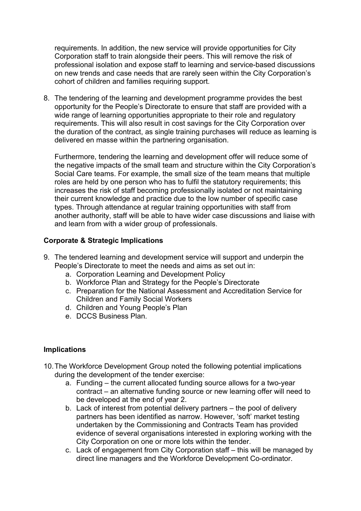requirements. In addition, the new service will provide opportunities for City Corporation staff to train alongside their peers. This will remove the risk of professional isolation and expose staff to learning and service-based discussions on new trends and case needs that are rarely seen within the City Corporation's cohort of children and families requiring support.

8. The tendering of the learning and development programme provides the best opportunity for the People's Directorate to ensure that staff are provided with a wide range of learning opportunities appropriate to their role and regulatory requirements. This will also result in cost savings for the City Corporation over the duration of the contract, as single training purchases will reduce as learning is delivered en masse within the partnering organisation.

Furthermore, tendering the learning and development offer will reduce some of the negative impacts of the small team and structure within the City Corporation's Social Care teams. For example, the small size of the team means that multiple roles are held by one person who has to fulfil the statutory requirements; this increases the risk of staff becoming professionally isolated or not maintaining their current knowledge and practice due to the low number of specific case types. Through attendance at regular training opportunities with staff from another authority, staff will be able to have wider case discussions and liaise with and learn from with a wider group of professionals.

### **Corporate & Strategic Implications**

- 9. The tendered learning and development service will support and underpin the People's Directorate to meet the needs and aims as set out in:
	- a. Corporation Learning and Development Policy
	- b. Workforce Plan and Strategy for the People's Directorate
	- c. Preparation for the National Assessment and Accreditation Service for Children and Family Social Workers
	- d. Children and Young People's Plan
	- e. DCCS Business Plan.

#### **Implications**

- 10.The Workforce Development Group noted the following potential implications during the development of the tender exercise:
	- a. Funding the current allocated funding source allows for a two-year contract – an alternative funding source or new learning offer will need to be developed at the end of year 2.
	- b. Lack of interest from potential delivery partners the pool of delivery partners has been identified as narrow. However, 'soft' market testing undertaken by the Commissioning and Contracts Team has provided evidence of several organisations interested in exploring working with the City Corporation on one or more lots within the tender.
	- c. Lack of engagement from City Corporation staff this will be managed by direct line managers and the Workforce Development Co-ordinator.